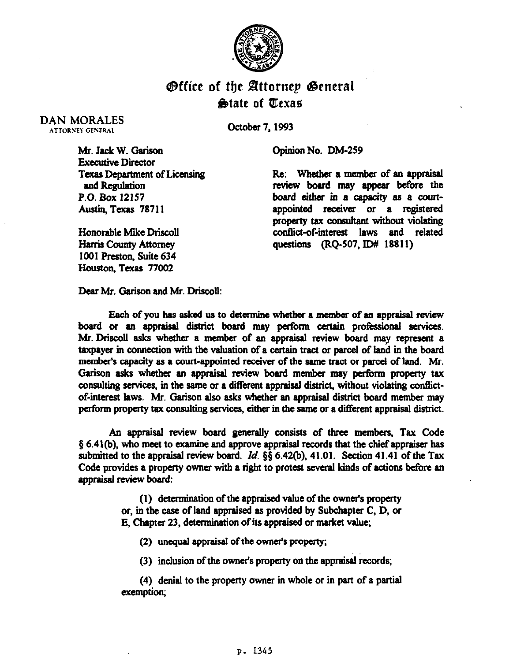

## **O**ffice of the Attorney General &date of Qexae

DAN MORALES **ATTORNEY GENERAL** 

October 7,1993

Opinion No. DM-259

Mr. Jack W. Garison **Executive Director** Texas Department of Licensing and Regulation P.O. Box 12157 Austin, Texas 78711

review board may appear before the board either in a capacity as a courtappointed receiver or a registered property tax consultant without violating conflict-of-interest laws and related questions (BQ-507, JD# 18811)

Re: Whether a member of an appraisal

Honorable Mike Driscoll Harris County Attorney 1001 Preston, Suite 634 Houston, Texas 77002

Dear Mr. Garison and Mr. Driscoll:

Each of you has asked us to determine whether a member of an appraisal review board or an appraisal district board may perform certain professional services. Mr. Driscoll asks whether a member of an appraisal review board may represent a taxpayer in connection with the valuation of a certain tract or parcel of land in the board member's capacity as a court-appointed receiver of the same tract or parcel of land. Mr. Garison asks whether an appraisal review board member may perform property tax consulting services, in the ssme or a ditferent appraisal district, without violating contlictof-interest laws. Mr. Garison also asks whether an appraisal district board member may perform property tax consulting services, either in the same or a different appraisal district.

An appraisal review board generally consists of three members, Tax Code  $§ 6.41(b)$ , who meet to examine and approve appraisal records that the chief appraiser has submitted to the appraisal review board. Id.  $\S$ § 6.42(b), 41.01. Section 41.41 of the Tax Code provides a property owner with a right to protest several kinds of actions before an appraisal review board:

> (1) determinstion of the appraised value of the ownefs property or, in the case of land apprsised as provided by Subchapter C, D, or E, Chapter 23, determination of its appraised or market value;

(2) unequal apprsissl of the owner's property;

(3) inclusion of the owner's property on the appraisal records;

(4) denial to the property owner in whole or in psrt of a partial exemption;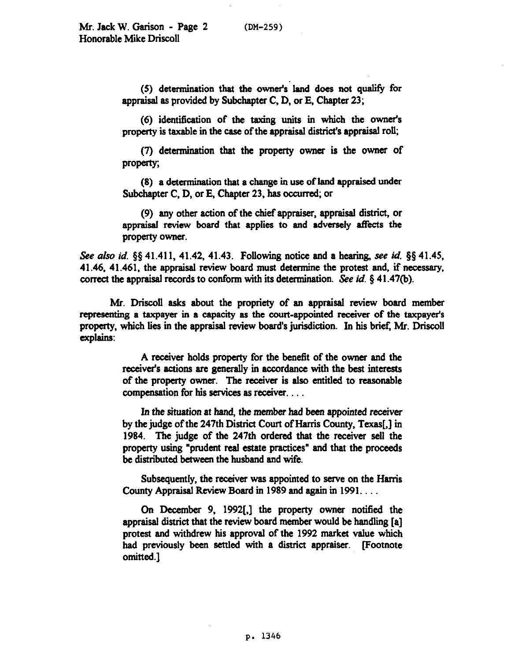(5) determination that the owner's land does not qualify for appraisal as provided by Subchapter C, D, or E. Chapter 23;

(6) identification of the taxing units in which the ownet's property is taxable in the case of the appraisal district's appraisal roll;

(7) determination that the property owner is the owner of property;

(8) a determination that a change in use of land appraised under Subchapter C, D, or E, Chapter 23. has ocaured, or

(9) any other action of the chief appraiser, appraisal district, or appraisal review board that applies to and adversely affects the property owner.

See *also id.* §§ 41.411, 41.42, 41.43. Following notice and a hearing, see id. §§ 41.45, 41.46. 41.461, the appraisal review board must determine the protest and, if necessary, correct the appraisal records to conform with its determination. See *id. \$41.47(b).* 

Mr. Driscoll asks about the propriety of an appraisal review board member representing a taxpayer in a capacity as the court-appointed receiver of the taxpayer's property, which lies in the appraisal review board's jurisdiction. In his brief, Mr. Driscoll explains:

> A receiver holds property for the benefit of the owner and the receiver's actions are generally in accordance with the best interests of the property owner. The receiver is also entitled to reasonable compensation for his services as receiver. . . .

> In the situation at hand, the member bad been appointed receiver by the judge of the 247th District Court of Harris County, Texas[,] in 1984. The judge of the 247th ordered that the receiver sell the property using "prudent real estate practices" and that the proceeds be distributed between the husband and wife.

> Subsequently, the receiver was appointed to serve on the Harris County Appraisal Review Board in 1989 and again in 1991...

> On December 9, 1992[,] the property owner notified the appraisal district that the review board member would be handling [a] protest and withdrew his approval of the 1992 market value which had previously been settled with a district appraiser. Footnote omitted.]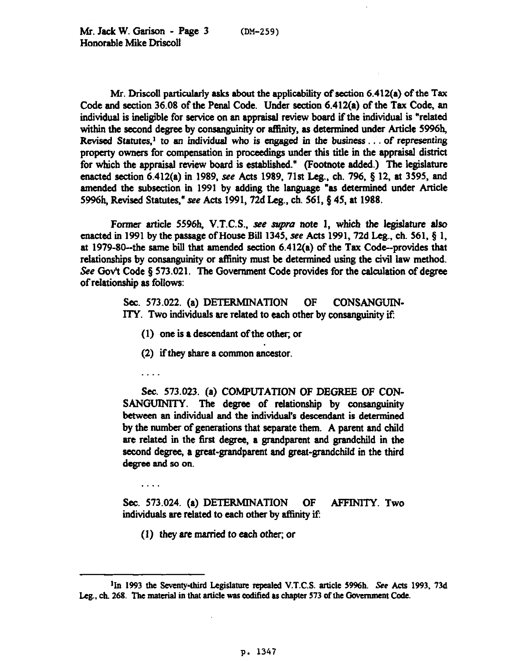Mr. Driscoll particularly asks about the applicability of section 6.412(a) of the Tax Code and section 36.08 of the Penal Code. Under section 6.412(a) of the Tax Code, an individual is ineligible for service on an appraisal review board if the individual is "related within the second degree by consanguinity or affinity, as determined under Article 5996h, Revised Statutes,<sup>1</sup> to an individual who is engaged in the business . . . of representing property owners for compensation in proceedings under this title in the appraisal district for which the appraisal review board is established." (Footnote added.) The legislature enacted section  $6.412(a)$  in 1989, see Acts 1989, 71st Leg., ch. 796, § 12, at 3595, and amended the subsection in 1991 by adding the language "as determined under Article **5996h,** Revised Statutes," see Acts 1991,72d Leg., ch. 561, Q 45, at 1988.

Former article 5596h, V.T.C.S., see supra note 1, which the legislature also enacted in 1991 by the passage of House Bill 1345, see Acts 1991, 72d Leg., ch. 561,  $\S$  1. at 1979-80--the same bill that amended section  $6.412(a)$  of the Tax Code--provides that relationships by consanguinity or affinity must be determined using the civil law method. See Gov't Code § 573.021. The Government Code provides for the calculation of degree of relationship as follows:

> Sec. 573.022. (a) DETERMINATION OF CONSANGUIN-ITY. Two individuals are related to each other by consanguinity if:

- (1) one is **a** descendant of the other, or
- **(2)** if they share a common ancestor.
- . . .

. .

**Sec. 573.023.** (a) COMPUTATION OF DEGREE OF CON-SANGUINITY. The degree of relationship by consanguinity between an individual and the individual's descendant is determined by the number of generations that separate them. A parent and child are related in the first degree, a grandparent and grandchild in the second degree, a great-grandparent and great-grandchild in the third degree and so on.

Sec. 573.024. (a) DETERMINATION OF AFFINITY. Two individuals are related to each other by affinity if:

 $(1)$  they are married to each other; or

<sup>&</sup>lt;sup>1</sup>In 1993 the Seventy-third Legislature repealed V.T.C.S. article 5996h. See Acts 1993, 73d Leg., ch. 268. The material in that article was codified as chapter 573 of the Government Code.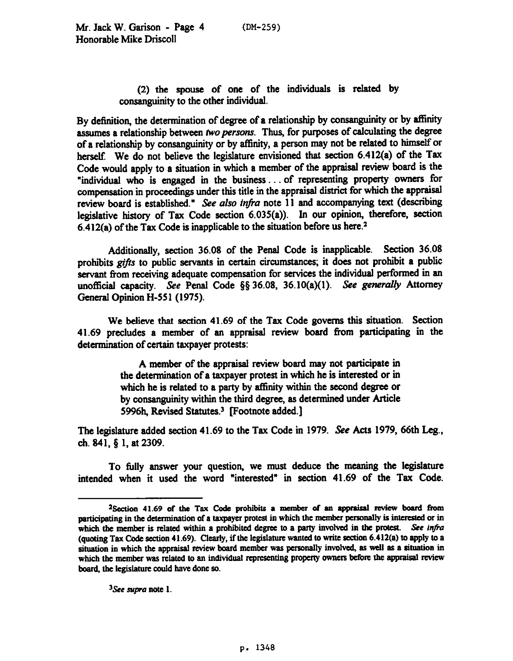(2) the spouse of one of the individuals is related by consanguinity to the other individual.

By definition, the determination of degree of a relationship by consanguinity or by affinity assumes a relationship between two persons. Thus, for purposes of calculating the degree of a relationship by consanguinity or by affinity, a person may not be related to himself or herself. We do not believe the legislature envisioned that section 6.412(a) of the Tax Code would apply to a situation in which a member of the appraisal review board is the "individual who is engaged in the business. . . of representing property owners for compensation in proceedings under this title in the appraisal district for which the appraisal review *board* is *established." See also infra* note 11 and accompanying text (describing legislative history of Tax Code section 6.035(a)). Jn our opinion, therefore, section 6.412(a) of the Tax Code is inapplicable to the situation before us here.2

Additionally, section 36.08 of the Penal Code is inapplicable. Section 36.08 prohibits gifts to public servants in certain circumstances; it does not prohibit a public servant from receiving adequate compensation for services the individual performed in an unofficial capacity. See Penal Code §§ 36.08, 36.10(a)(1). See generally Attorney Generd Opinion H-551 (1975).

We believe that section 41.69 of the Tax Code governs this situation. Section 41.69 precludes a member of an appraisal review board from participating in the determination of certain taxpayer protests:

> A member of the appraisal review board may not participate in the determination of a taxpayer protest in which he is interested or in which he is related to a party by affinity within the second degree or by consanguinity within the third degree, as determined under Article 5996h, Revised Statutes.3 Footnote added.]

The legislature added section 41.69 to the Tax Code in 1979. See Acts 1979, 66th Leg., ch. 841,  $\S$  1, at 2309.

To fully answer your question, we must deduce the meaning the legislature intended when it used the word "interested" in section 41.69 of the Tax Code.

<sup>3</sup>See supra note 1.

<sup>&</sup>lt;sup>2</sup>Section 41.69 of the Tax Code prohibits a member of an appraisal review board from participating in the determination of a taxpayer protest in which the member personally is interested or in which the member is related within a prohibited degree to a party involved in the protest. See infra (quoting Tax Code section 41.69). Clearly, if the legislature wanted to write section 6.412(a) to apply to a situation in which the appraisal review board member was personally involved, as well as a situation in which the member was related to an individual representing property owners before the appraisal review board, the legislature could have done so.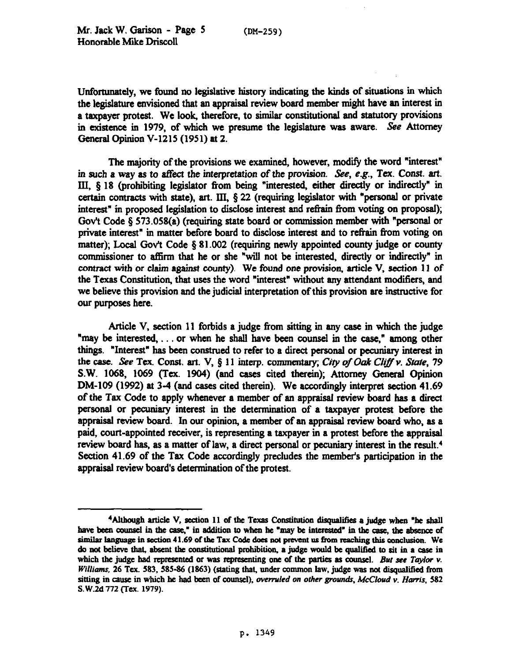Unfortunately, we found no legislative history indicating the kinds of situations in which the legislature envisioned that an appraisal review board member might have an interest in a taxpayer protest. We look, therefore, to similar constitutional and statutory provisions in existence in 1979, of which we presume the legislature was aware. See Attorney General Opinion V-1215 (1951) at 2.

The majority of the provisions we exsmined, however, modify the word "interest" in such a way as to affect the interpretation of the provision. See, e.g., Tex. Const. art. III, 5 18 (prohibiting legislator from being "interested, either directly or indirectly" in certain contracts with state), art. III, \$22 (requiring legislator with "personal or private interest" in proposed legislation to disclose interest and refrain from voting on proposal); Gov't Code § 573.058(a) (requiring state board or commission member with "personal or private interest" in matter before board to disclose interest and to refrain from voting on matter); Local Gov't Code  $\S 81.002$  (requiring newly appointed county judge or county commissioner to affirm that he or she "will not be interested, directly or indirectly" in contract with or claim against county). We found one provision, article V, section 11 of the Texas Constitution, that uses the word "interest" without any attendant modifiers, and we believe this provision and the judicial interpretation of this provision are instructive for our purposes here.

Article V. section 11 forbids a judge from sitting in any case in which the judge "may be interested,... or when he shall have been counsel in the case," among other things. "Interest" has been construed to refer to a direct personal or pecuniary interest in the case. See Tex. Const. art. V, § 11 interp. commentary; *City of Oak Cliff v. State*, 79 S.W. 1068, 1069 (Tex. 1904) (and cases cited therein); Attorney General Opinion DM-109 (1992) at 3-4 (and cases cited therein). We accordingly interpret section 41.69 of the Tax Code to apply whenever a member of an appraisal review board has a direct personal or pecuniary interest in the determination of a taxpayer protest before the appraisal review board. In our opinion, a member of an appraisal review board who, as a paid, court-appointed receiver, is representing a taxpayer in a protest before the appraisal review board has, as a matter of law, a direct personal or pecuniary interest in the result.4 Section 41.69 of the Tax Code accordingly precludes the member's participation in the appraisal review board's determination of the protest.

<sup>&</sup>lt;sup>4</sup>Although article V, section 11 of the Texas Constitution disqualifies a judge when "he shall have been counsel in the case," in addition to when he "may be interested" in the case, the absence of similar language in section 41.69 of the Tax Code does not prevent us from reaching this conclusion. We do not believe that, absent the constitutional prohibition, a judge would be qualified to sit in a case in which the judge had represented or was representing one of the parties as counsel. But see Taylor v. Williams, 26 Tex. 583, 585-86 (1863) (stating that, under common law, judge was not disqualified from sitting in cause in which he had been of counsel), overruled on other grounds, McCloud v. Harris, 582 S.W.2d 772 (Tex. 1979).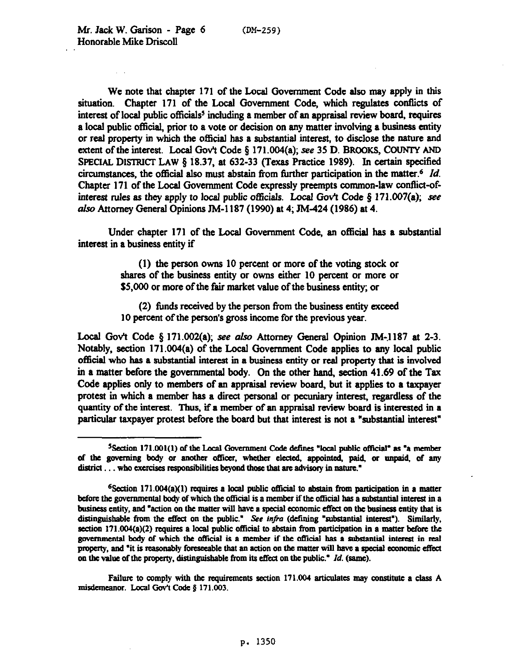We note that chapter 171 of the Local Government Code also may apply in this situation. Chapter 171 of the Local Government Code, which regulates conflicts of interest of local public officials<sup>5</sup> including a member of an appraisal review board, requires a local public official, prior to a vote or decision on any matter involving a business entity or real property in which the official has a substantial interest, to disclose the nature and extent of the interest. Local Gov't Code  $\S$  171.004(a); see 35 D. BROOKS, COUNTY AND SPECIAL DISTRICT LAW § 18.37, at 632-33 (Texas Practice 1989). In certain specified circumstances, the official also must abstain from further participation in the matter.<sup>6</sup> *Id.* Chapter 171 of the Local Government Code expressly preempts common-law conflict-of**interest** rules as they apply to local public officials. Local Gov't Code 6 171.007(a); see also Attorney General Opinions JM-1187 (1990) at 4; JM-424 (1986) at 4.

Under chapter 171 of the Local Government Code, an official has a substantial interest in a business entity if

> (1) the person owns 10 percent or more of the voting stock or shares of the business entity or owns either 10 percent or more or \$5,000 or more of the fair market value of the business entity; or

> (2) funds received by the person from the business entity exceed 10 percent of the person's gross income for the previous year.

Local Gov't Code  $\S 171.002(a)$ ; see also Attorney General Opinion JM-1187 at 2-3. Notably, section 171.004(a) of the Local Government Code applies to any local public **official** who has a substantial interest in a business entity or real property that is involved in a matter before the governmental body. On the other hand, section 41.69 of the Tax Code applies only to members of an appraisal review board, but it applies to a taxpayer protest in which a member has a direct personal or pecuniary interest, regardless of the quantity of the interest. Thus, if a member of an appraisal review board is interested in a particular taxpayer protest before the board but that interest is not a "substantial interest"

Failure to comply with the requirements section 171.004 articulates may constitute a class A misdemeanor. Local Gov't Code § 171.003.

<sup>&</sup>lt;sup>5</sup> Section 171.001(1) of the Local Government Code defines "local public official" as "a member district . . . who exercises responsibilities beyond those that are advisory in nature." of the governing body or another officer, whether elected, appointed, paid, or unpaid, of any

**<sup>%</sup>ection 171.004(a)(l) quires a local public o5icial lo abstain from participation in a matter**  before the governmental body of which the official is a member if the official has a substantial interest in a business entity, and "action on the matter will have a special economic effect on the business entity that is distinguishable from the effect on the public." See infra (defining "substantial interest"). Similarly, **section 171.004(a)(2) requires a local public official to abstain from participation in a matter before the** governmental body of which the official is a member if the official has a substantial interest in real property, and "it is reasonably foreseeable that an action on the matter will have a special economic effect on the value of the property, distinguishable from its effect on the public.<sup>\*</sup> *Id.* (same).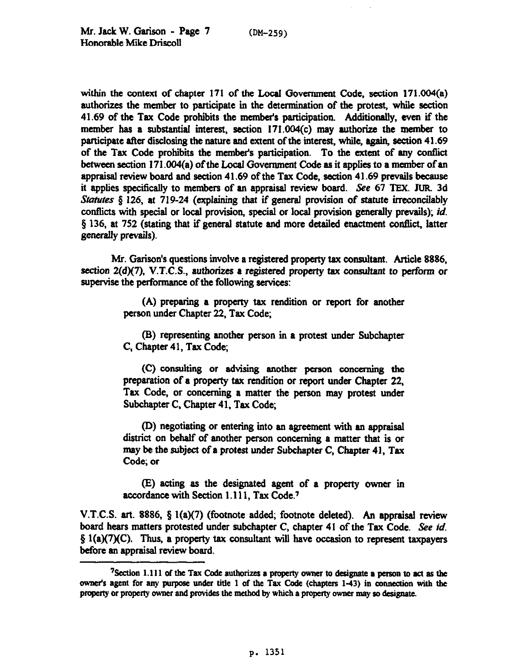within the context of chapter 171 of the Local Government Code, section 171.004(a) authorizes the member to participate in the determination of the protest, while section 41.69 of the Tax Code prohibits the members participation. Additionally, even if the member has a substantial interest, section I71.004(c) may authorize the member to participate after disclosing the nature and extent of the interest, while, again, section 41.69 of the Tax Code prohibits the member's participation. To the extent of any wnflict between section 171.004(a) of the Local Government Code as it applies to a member of an appraisal review board and section 41.69 of the Tax Code, section 41.69 prevails because it applies specifically to members of an appraisal review board. See 67 TEX. JUR. 3d Statutes  $\S$  126, at 719-24 (explaining that if general provision of statute irreconcilably conflicts with special or local provision, special or local provision generally prevails); *id.* § 136, at 752 (stating that if general statute and more detailed enactment conflict, latter generally prevails).

Mr. Garison's questions involve a registered property tax consultant. Article 8886, **section** 2(d)(7), V.T.C.S., authorizes a registered property tax consultant to perform or supervise the performance of the following services:

> (A) preparing a property tax rendition or report for another person under Chapter 22, Tax Code;

> (B) representing another person in a protest under Subchapter C, Chapter 41, Tax Code;

> (C) consulting or advising another person concerning the preparation of a property tax rendition or report under Chapter 22. Tax Code, or concerning a matter the person may protest under Subchapter C. Chapter 41. Tax Code;

> (D) negotiating or entering into an agreement with an appraisal district on behalf of another person concerning a matter that is or may be the subject of a protest under Subchapter C, Chapter 41, Tax Code; or

> Q acting as the designated agent of a property owner in accordance with Section 1.111, Tax Code.7

V.T.C.S. art. 8886, § 1(a)(7) (footnote added; footnote deleted). An appraisal review board hears matters protested under subchapter C, chapter 41 of the Tax Code. See *id.*   $\S 1(a)(7)(C)$ . Thus, a property tax consultant will have occasion to represent taxpayers before an appraisal review board.

<sup>&</sup>lt;sup>7</sup> Section 1.111 of the Tax Code authorizes a property owner to designate a person to act as the owner's agent for any purpose under title 1 of the Tax Code (chapters 1-43) in connection with the property or property owner and provides the method by which a property owner may so designate.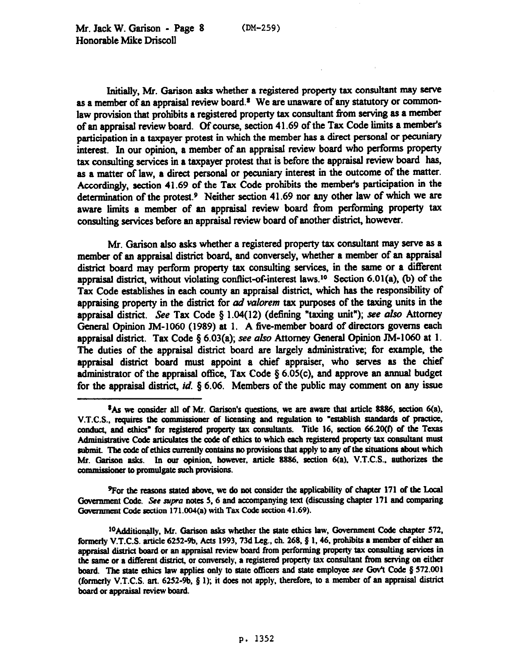Initially, Mr. Garison asks whether a registered property tax consultant may serve as a member of an appraisal review board.<sup>8</sup> We are unaware of any statutory or commonlaw provision that prohibits a registered property tax consultant from serving as a member of an appraisal review board. Of course, section 41.69 of the Tax Code limits a member's participation in a taxpayer protest in which the member has a direct personal or pecuniary interest. In our opinion, a member of an appraisal review board who performs property tax consulting services in a taxpayer protest that is before the appraisal review board has, as a matter of law, a direct personal or pecuniary interest in the outcome of the matter. Accordingly, section 41.69 of the Tax Code prohibits the member's participation in the determination of the protest.<sup>9</sup> Neither section 41.69 nor any other law of which we are awsre limits a member of an appraisal review board from performing property tax consulting services before an appraisal review board of another district, however.

Mr. Garison also asks whether a registered property tax consultant may serve as a member of an appraisal district board, and conversely. whether a member of an appraisal district board may perform property tax consulting services, in the same or a different appraisal district, without violating conflict-of-interest laws.<sup>10</sup> Section 6.01(a), (b) of the Tax Code establishes in each county an appraisal district, which has the responsibility of appraising property in the district for ad *vulorem tax* **purposes** of the taxing units in the appraisal district. See Tax Code § 1.04(12) (defining "taxing unit"); see also Attorney General Opinion JM-1060 (1989) at 1. A five-member board of directors governs each appraisal district. Tax Code  $\S 6.03(a)$ ; see also Attorney General Opinion JM-1060 at 1. The duties of the appraisal district board are largely administrative; for example, the appraisal district board must appoint a chief appraiser, who serves as the chief administrator of the appraisal office, Tax Code  $\S 6.05(c)$ , and approve an annual budget for the appraisal district,  $id. \S$  6.06. Members of the public may comment on any issue

<sup>9</sup>For the reasons stated above, we do not consider the applicability of chapter 171 of the Local Government Code. See supra notes 5, 6 and accompanying text (discussing chapter 171 and comparing Government Code section 171.004(a) with Tax Code section 41.69).

<sup>&</sup>lt;sup>8</sup>As we consider all of Mr. Garison's questions, we are aware that article 8886, section 6(a), V.T.C.S., requires the commissioner of licensing and regulation to "establish standards of practice, conduct, and ethics<sup>®</sup> for registered property tax consultants. Title 16, section 66.20(f) of the Texas Administrative Code articulates the code of ethics to which each registered property tax consultant must submit. The code of ethics currently contains no provisions that apply to any of the situations about which Mr. Garison asks. In our opinion, however, article 8886, section 6(a), V.T.C.S., authorizes the commissioner to promulgate such provisions.

<sup>&</sup>lt;sup>10</sup> Additionally, Mr. Garison asks whether the state ethics law, Government Code chapter 572, formerly V.T.C.S. article 6252-9b, Acts 1993, 73d Leg., ch. 268, § 1, 46, prohibits a member of either an appraisal district board or an appraisal review board from performing property tax consulting services in the same or a different district, or conversely, a registered property tax consultant from serving on either board. The state ethics law applies only to state officers and state employee see Gov't Code § 572.001 **(formerly V.T.C.S. art. 6252~9b, 8 1); it does not apply, therefore, to a member of an appraisal dislricl**  board or appraisal review board.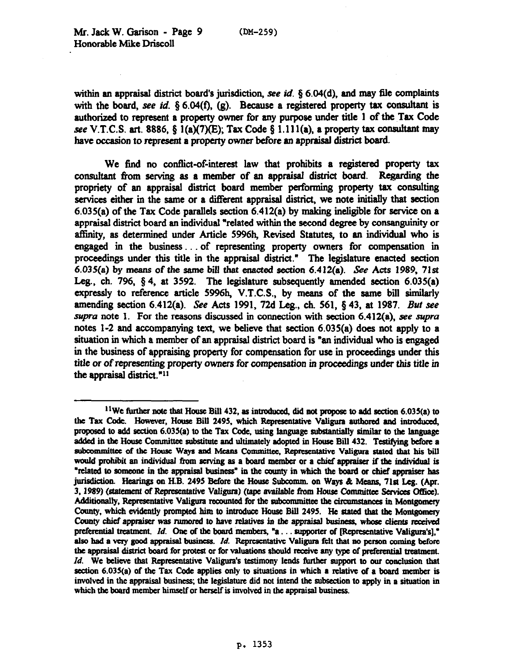within an appraisal district board's jurisdiction, see *id.* 5 6.04(d), and may 6le complaints with the board, see *id.*  $\S 6.04(f)$ , (g). Because a registered property tax consultant is authorized to represent a property owner for any purpose under title 1 of the Tax Code see V.T.C.S. art. 8886,  $\S$  1(a)(7)(E); Tax Code  $\S$  1.111(a), a property tax consultant may have occasion to represent a property owner before an appraisal district board.

We find no conflict-of-interest law that prohibits a registered property tax consultant from serving as a member of an appraisal district board. Regarding the propriety of an appraisal district board member performing property tax consulting services either in the same or a different appraisal district, we note initially that section 6.035(a) of the Tax Code parallels section 6.412(a) by making ineligible for service on a appraisal district board an individual "related within the second degree by consanguinity or affinity, as determined under Article 5996h, Revised Statutes, to an individual who is engaged in the business ... of representing property owners for compensation in proceedings under this title in the appraisal district." The legislature enacted section 6.035(a) by means of the same bill that enacted section  $6.412(a)$ . See Acts 1989, 71st Leg., ch. 796, 8 4, at 3592. The legislature subsequently amended *section* 6.035(a) expressly to reference article 5996h, V.T.C.S., by means of the same bill similarly amending section 6.412(a). See Acts 1991, 72d Leg., ch. 561, 5 43, at 1987. But see *supra* note 1. For the reasons discussed in connection with section 6.412(a), see supra notes l-2 and accompanying text, we believe that section 6.035(a) does not apply to a situation in which a member of an appraisal district board is "an individual who is engaged in the business of appraising property for compensation for use in proceedings under this title or of *representing* property owners for *wmpcnsation in* proceedings under this title in the appraisal district. $"11"$ 

<sup>&</sup>lt;sup>11</sup>We further note that House Bill 432, as introduced, did not propose to add section  $6.035(a)$  to the Tax Code. However, House Bill 2495, which Representative Valigura authored and introduced, proposed to add section 6.035(a) to the Tax Code, using language substantially similar to the language added in the House Committee substitute and ultimately adopted in House Bill 432. Testifying before a subcommittee of the House Ways and Means Committee, Representative Valigura stated that his bill would prohibit an individual from serving as a board member or a chief appraiser if the individual is "related to someone in the appraisal business" in the county in which the board or chief appraiser has jurisdiction. Hearings on H.B. 2495 Before the House Subcomm. on Ways & Means, 71st Leg. (Apr. 3, 1989) (statement of Representative Valigura) (tape available from House Committee Services Office). Additionally, Representative Valigura recounted for the subcommittee the circumstances in Montgomery County, which evidently prompted him to introduce House Bill 2495. He stated that the Montgomery County chief appraiser was rumored to have relatives in the appraisal business, whose clients received *preferential treatment. Id. One of the board members, "a... supporter of IRcpresentative Valigura'sl."* also had a very good appraisal business. *Id.* Representative Valigura felt that no person coming before the appraisal district board for protest or for valuations should receive any type of preferential treatment. *Id.* We believe that Representative Valigura's testimony lends further support to our conclusion that  $section 6.035(a)$  of the Tax Code applies only to situations in which a relative of a board member is involved in the appraisal business; the legislature did not intend the subsection to apply in a situation in which the board member himself or herself is involved in the appraisal business.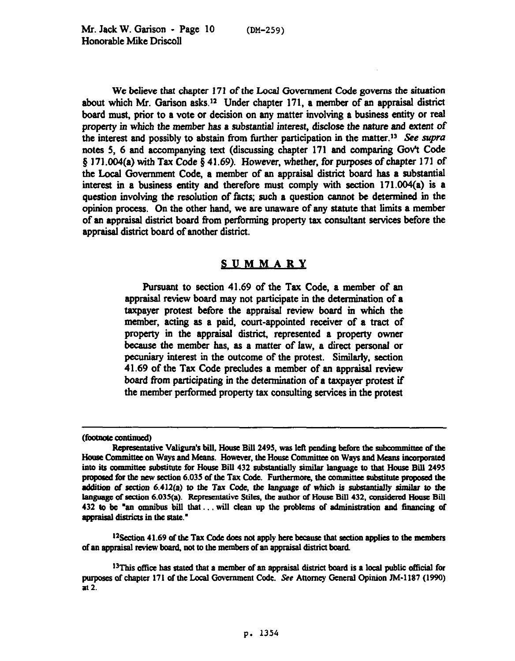We believe that chapter 171 of the Local Government Code governs the situation about which Mr. Garison asks.12 Under chapter 171, a member of an appraisal district board must, prior to a vote or decision on any matter involving a business entity or real property in which the member hss a substantial interest, disclose the nature and extent of the interest and possibly to abstain from tinther participation *in the matter.'3 See supra*  notes 5, 6 and accompanying text (discussing chapter 171 and comparing Gov't Code # 171.004(a) with Tax Code § 41.69). However, whether, for purposes of chapter 171 of the Local Government Code, a member of an appraisal district board has a substantial interest in a business entity and therefore must comply with section 171.004(a) is a question involving the resolution of facts; such a question cannot be determined in the opinion process. Gn the other hand, we are unaware of any statute that limits a member of an appraisal district board from performing property tax wnsultant services before the appraisal district board of another district.

## **SUMMARY**

**Pursuant to section** 41.69 of the Tax Code, a member of an appraisal review board may not participate in the determination of a taxpayer protest before the appraisal review board in which the **member,** acting as a paid, court-appointed receiver of a tract of property in the appraisal district, represented a property owner because the member has, as a matter of law, a direct personal or **pecuniary interest in the outcome of the protest. Similarly, section** 41.69 of the Tax Code precludes a member of an appraisal review board from participating in the deterrninstion of a taxpayer protest if **the** member performed **property tax** wnsuhing **services in the protest** 

<sup>12</sup>Section 41.69 of the Tax Code does not apply here because that section applies to the members of an appraisal review board, not to the members of an appraisal district board.

<sup>(</sup>footnote continued)

Representative Valigura's bill, House Bill 2495, was left pending before the subcommittee of the House Committee on Ways and Means. However, the House Committee on Ways and Means incorporated into its committee substitute for House Bill 432 substantially similar language to that House Bill 2495 proposed for the new section 6.035 of the Tax Code. Furthermore, the committee substitute proposed the addition of section 6.412(a) to the Tax Code, the language of which is substantially similar to the language of section 6.035(a). Representative Stiles, the author of House Bill 432, considered House Bill 432 to be "an omnibus bill that... will clean up the problems of administration and financing of appraisal districts in the state."

<sup>&</sup>lt;sup>13</sup>This office has stated that a member of an appraisal district board is a local public official for purposes of chapter 171 of the Local Government Code. See Attorney General Opinion JM-1187 (1990) at 2.